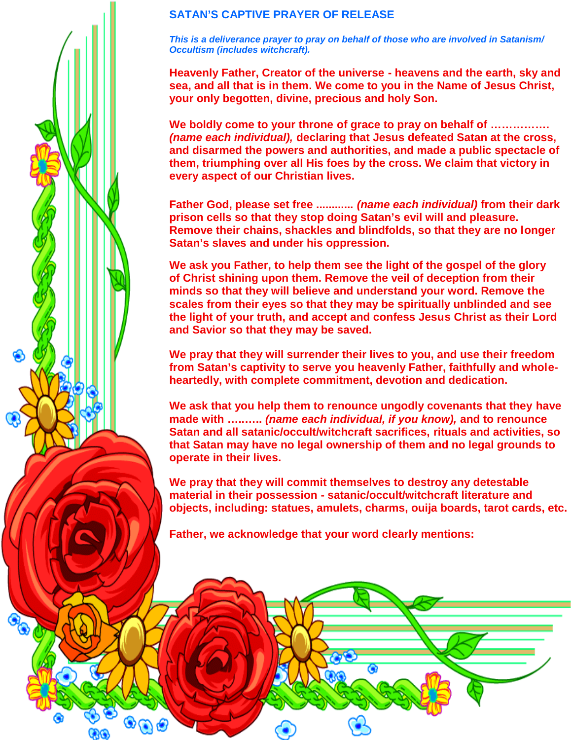## **SATAN'S CAPTIVE PRAYER OF RELEASE**

*This is a deliverance prayer to pray on behalf of those who are involved in Satanism/ Occultism (includes witchcraft).*

**Heavenly Father, Creator of the universe - heavens and the earth, sky and sea, and all that is in them. We come to you in the Name of Jesus Christ, your only begotten, divine, precious and holy Son.**

**We boldly come to your throne of grace to pray on behalf of …………….** *(name each individual),* **declaring that Jesus defeated Satan at the cross, and disarmed the powers and authorities, and made a public spectacle of them, triumphing over all His foes by the cross. We claim that victory in every aspect of our Christian lives.**

**Father God, please set free ............** *(name each individual)* **from their dark prison cells so that they stop doing Satan's evil will and pleasure. Remove their chains, shackles and blindfolds, so that they are no longer Satan's slaves and under his oppression.**

**We ask you Father, to help them see the light of the gospel of the glory of Christ shining upon them. Remove the veil of deception from their minds so that they will believe and understand your word. Remove the scales from their eyes so that they may be spiritually unblinded and see the light of your truth, and accept and confess Jesus Christ as their Lord and Savior so that they may be saved.**

**We pray that they will surrender their lives to you, and use their freedom from Satan's captivity to serve you heavenly Father, faithfully and wholeheartedly, with complete commitment, devotion and dedication.**

**We ask that you help them to renounce ungodly covenants that they have made with …..…..** *(name each individual, if you know),* **and to renounce Satan and all satanic/occult/witchcraft sacrifices, rituals and activities, so that Satan may have no legal ownership of them and no legal grounds to operate in their lives.**

**We pray that they will commit themselves to destroy any detestable material in their possession - satanic/occult/witchcraft literature and objects, including: statues, amulets, charms, ouija boards, tarot cards, etc.**

۵

**Father, we acknowledge that your word clearly mentions:**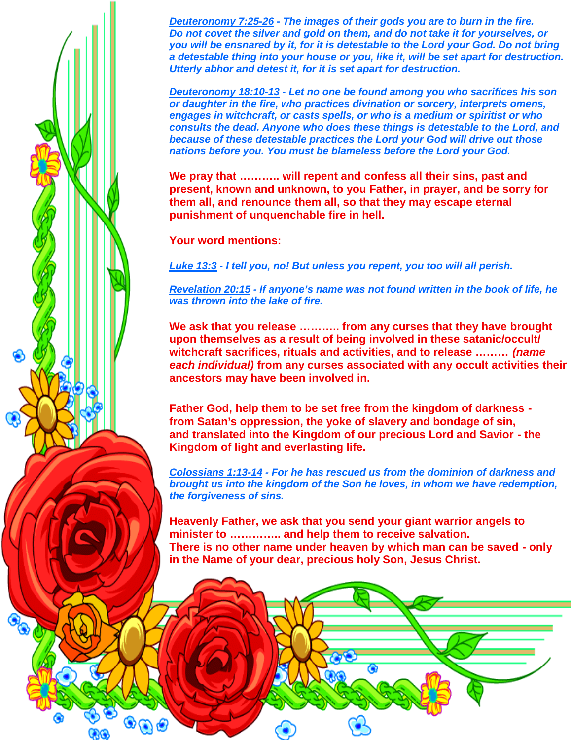*Deuteronomy 7:25-26 - The images of their gods you are to burn in the fire. Do not covet the silver and gold on them, and do not take it for yourselves, or you will be ensnared by it, for it is detestable to the Lord your God. Do not bring a detestable thing into your house or you, like it, will be set apart for destruction. Utterly abhor and detest it, for it is set apart for destruction.*

*Deuteronomy 18:10-13 - Let no one be found among you who sacrifices his son or daughter in the fire, who practices divination or sorcery, interprets omens, engages in witchcraft, or casts spells, or who is a medium or spiritist or who consults the dead. Anyone who does these things is detestable to the Lord, and because of these detestable practices the Lord your God will drive out those nations before you. You must be blameless before the Lord your God.*

**We pray that ……….. will repent and confess all their sins, past and present, known and unknown, to you Father, in prayer, and be sorry for them all, and renounce them all, so that they may escape eternal punishment of unquenchable fire in hell.**

**Your word mentions:**

*Luke 13:3 - I tell you, no! But unless you repent, you too will all perish.*

*Revelation 20:15 - If anyone's name was not found written in the book of life, he was thrown into the lake of fire.*

**We ask that you release ……….. from any curses that they have brought upon themselves as a result of being involved in these satanic/occult/ witchcraft sacrifices, rituals and activities, and to release ………** *(name each individual)* **from any curses associated with any occult activities their ancestors may have been involved in.**

**Father God, help them to be set free from the kingdom of darkness from Satan's oppression, the yoke of slavery and bondage of sin, and translated into the Kingdom of our precious Lord and Savior - the Kingdom of light and everlasting life.**

*Colossians 1:13-14 - For he has rescued us from the dominion of darkness and brought us into the kingdom of the Son he loves, in whom we have redemption, the forgiveness of sins.*

**Heavenly Father, we ask that you send your giant warrior angels to minister to ………….. and help them to receive salvation. There is no other name under heaven by which man can be saved - only in the Name of your dear, precious holy Son, Jesus Christ.**

۵